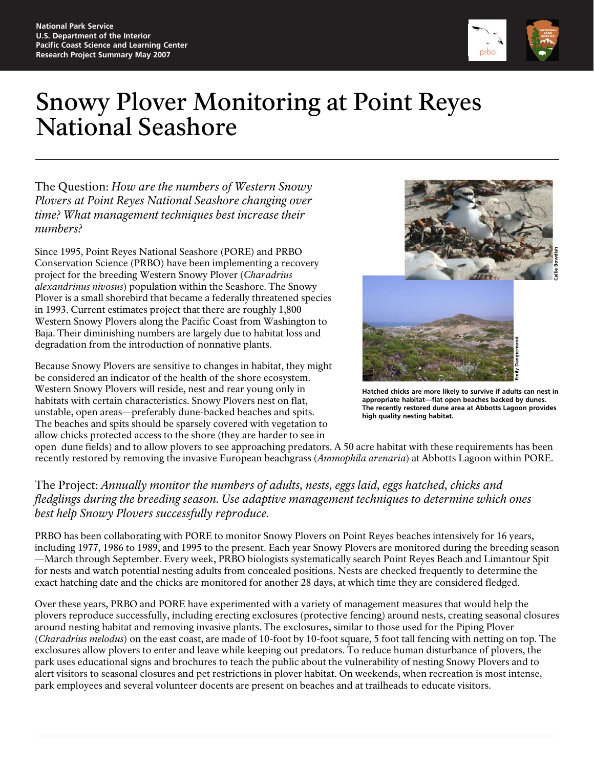

## Snowy Plover Monitoring at Point Reyes National Seashore

The Question: *How are the numbers of Western Snowy Plovers at Point Reyes National Seashore changing over time? What management techniques best increase their numbers?* 

Since 1995, Point Reyes National Seashore (PORE) and PRBO Conservation Science (PRBO) have been implementing a recovery project for the breeding Western Snowy Plover (*Charadrius alexandrinus nivosus*) population within the Seashore. The Snowy Plover is a small shorebird that became a federally threatened species in 1993. Current estimates project that there are roughly 1,800 Western Snowy Plovers along the Pacific Coast from Washington to Baja. Their diminishing numbers are largely due to habitat loss and degradation from the introduction of nonnative plants.

Because Snowy Plovers are sensitive to changes in habitat, they might be considered an indicator of the health of the shore ecosystem. Western Snowy Plovers will reside, nest and rear young only in habitats with certain characteristics. Snowy Plovers nest on flat, unstable, open areas—preferably dune-backed beaches and spits. The beaches and spits should be sparsely covered with vegetation to allow chicks protected access to the shore (they are harder to see in



**Hatched chicks are more likely to survive if adults can nest in appropriate habitat—flat open beaches backed by dunes. The recently restored dune area at Abbotts Lagoon provides high quality nesting habitat.**

open dune fields) and to allow plovers to see approaching predators. A 50 acre habitat with these requirements has been recently restored by removing the invasive European beachgrass (*Ammophila arenaria*) at Abbotts Lagoon within PORE.

## The Project: *Annually monitor the numbers of adults, nests, eggs laid, eggs hatched, chicks and fledglings during the breeding season. Use adaptive management techniques to determine which ones best help Snowy Plovers successfully reproduce.*

PRBO has been collaborating with PORE to monitor Snowy Plovers on Point Reyes beaches intensively for 16 years, including 1977, 1986 to 1989, and 1995 to the present. Each year Snowy Plovers are monitored during the breeding season —March through September. Every week, PRBO biologists systematically search Point Reyes Beach and Limantour Spit for nests and watch potential nesting adults from concealed positions. Nests are checked frequently to determine the exact hatching date and the chicks are monitored for another 28 days, at which time they are considered fledged.

Over these years, PRBO and PORE have experimented with a variety of management measures that would help the plovers reproduce successfully, including erecting exclosures (protective fencing) around nests, creating seasonal closures around nesting habitat and removing invasive plants. The exclosures, similar to those used for the Piping Plover (*Charadrius melodus*) on the east coast, are made of 10-foot by 10-foot square, 5 foot tall fencing with netting on top. The exclosures allow plovers to enter and leave while keeping out predators. To reduce human disturbance of plovers, the park uses educational signs and brochures to teach the public about the vulnerability of nesting Snowy Plovers and to alert visitors to seasonal closures and pet restrictions in plover habitat. On weekends, when recreation is most intense, park employees and several volunteer docents are present on beaches and at trailheads to educate visitors.